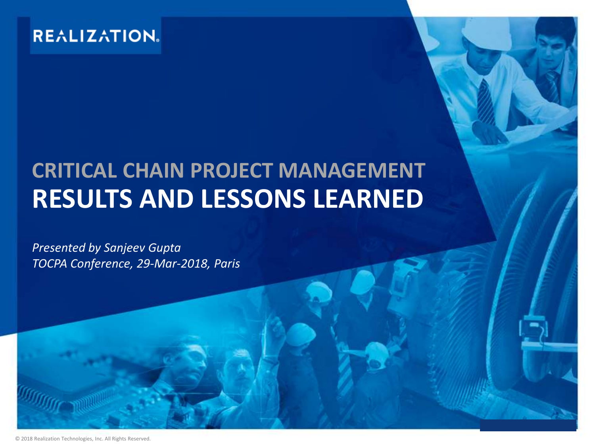#### **REALIZATION.**

# **CRITICAL CHAIN PROJECT MANAGEMENT RESULTS AND LESSONS LEARNED**

*Presented by Sanjeev Gupta TOCPA Conference, 29-Mar-2018, Paris*

© 2018 Realization Technologies, Inc. All Rights Reserved.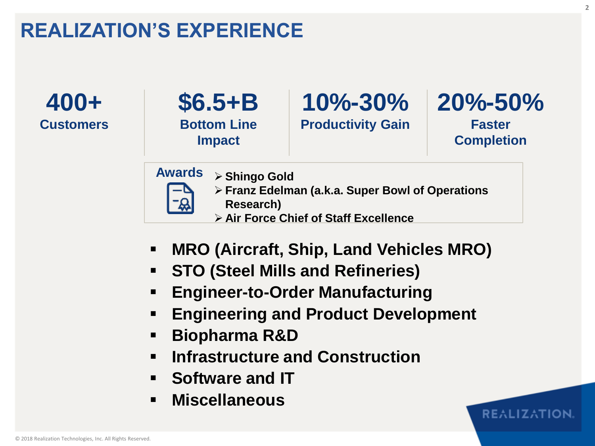## **REALIZATION'S EXPERIENCE**

**400+ Customers**



#### **10%-30% 20%-50% Productivity Gain**

**Faster Completion**

**REALIZATION** 

**Awards**

- **Shingo Gold**
- **Franz Edelman (a.k.a. Super Bowl of Operations**

**Research)**

- **Air Force Chief of Staff Excellence**
- **MRO (Aircraft, Ship, Land Vehicles MRO)**
- **STO (Steel Mills and Refineries)**
- **Engineer-to-Order Manufacturing**
- **Engineering and Product Development**
- **Biopharma R&D**
- **Infrastructure and Construction**
- **Software and IT**
- **Miscellaneous**

**2**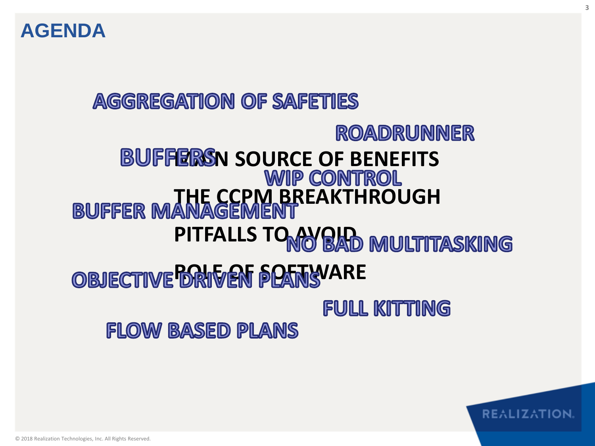

# **AGGREGATION OF SAFETIES** ROADRUNNER **BUFFERSN SOURCE OF BENEFITS**<br>WIP CONTROL **BUFFER MANAGEMENT** PITFALLS TO AVOID MULTITASKING *ROBJECTIVE DRIVEN PLANSVARE* **FULL KITTING**

**3**

**REALIZATION** 

**FLOW BASED PLANS**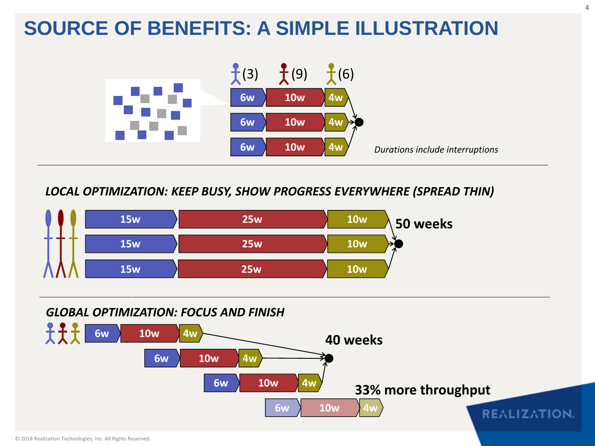## **SOURCE OF BENEFITS: A SIMPLE ILLUSTRATION**



*LOCAL OPTIMIZATION: KEEP BUSY, SHOW PROGRESS EVERYWHERE (SPREAD THIN)*



#### *GLOBAL OPTIMIZATION: FOCUS AND FINISH*

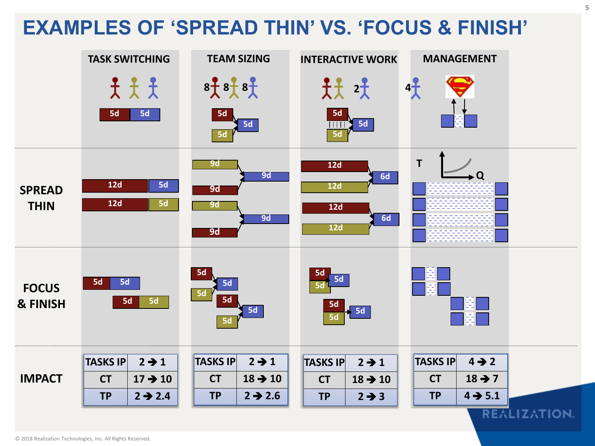# **EXAMPLES OF 'SPREAD THIN' VS. 'FOCUS & FINISH'**

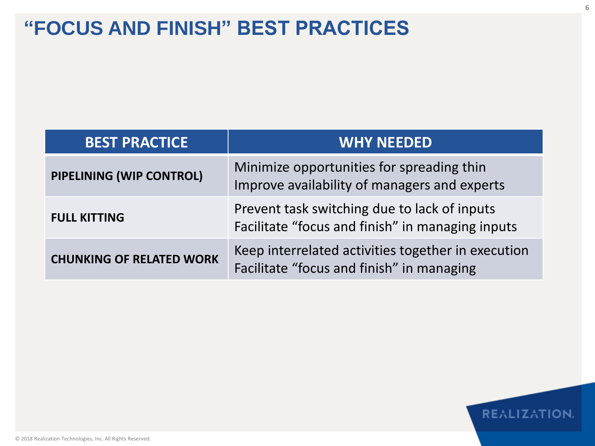#### **"FOCUS AND FINISH" BEST PRACTICES**

| <b>BEST PRACTICE</b>            | <b>WHY NEEDED</b>                                                                                |
|---------------------------------|--------------------------------------------------------------------------------------------------|
| PIPELINING (WIP CONTROL)        | Minimize opportunities for spreading thin<br>Improve availability of managers and experts        |
| <b>FULL KITTING</b>             | Prevent task switching due to lack of inputs<br>Facilitate "focus and finish" in managing inputs |
| <b>CHUNKING OF RELATED WORK</b> | Keep interrelated activities together in execution<br>Facilitate "focus and finish" in managing  |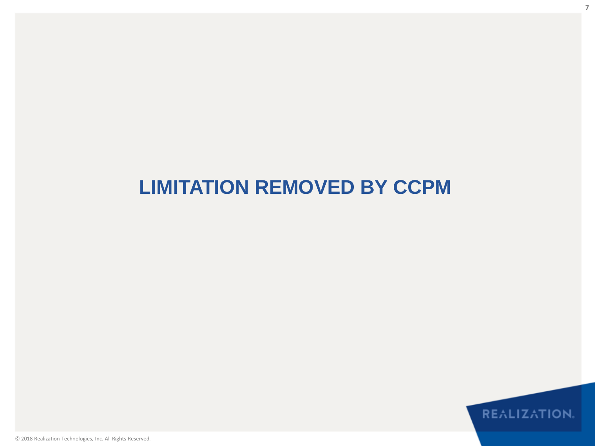#### **LIMITATION REMOVED BY CCPM**

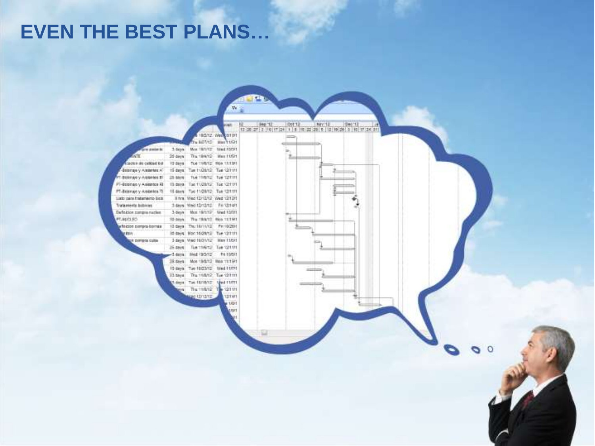#### **EVEN THE BEST PLANS…**

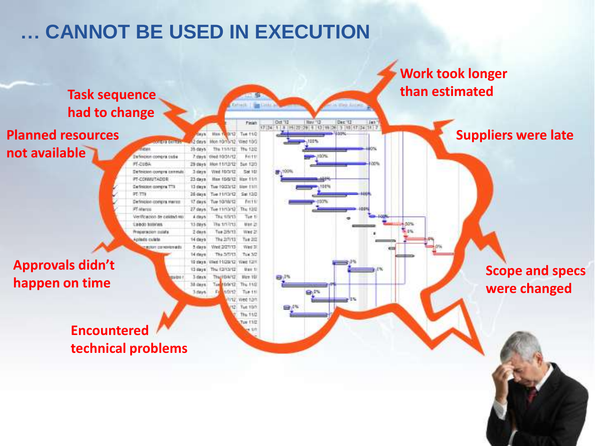# **… CANNOT BE USED IN EXECUTION**

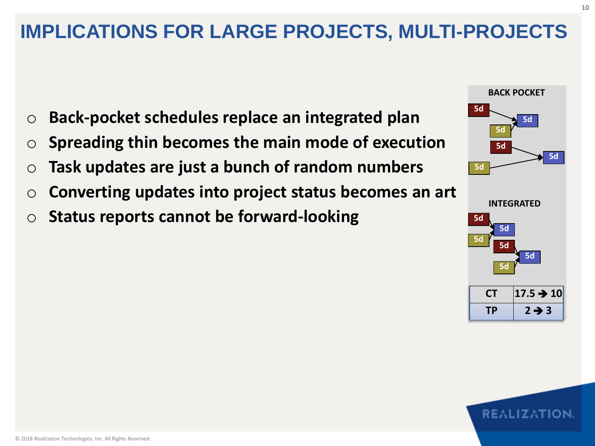### **IMPLICATIONS FOR LARGE PROJECTS, MULTI-PROJECTS**

- o **Back-pocket schedules replace an integrated plan**
- o **Spreading thin becomes the main mode of execution**
- o **Task updates are just a bunch of random numbers**
- o **Converting updates into project status becomes an art**
- o **Status reports cannot be forward-looking**

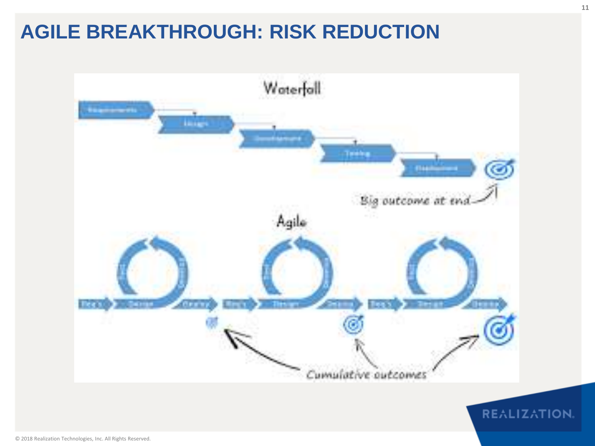### **AGILE BREAKTHROUGH: RISK REDUCTION**

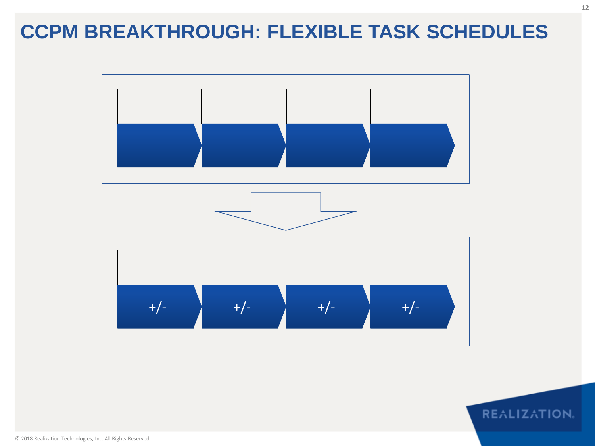#### **CCPM BREAKTHROUGH: FLEXIBLE TASK SCHEDULES**

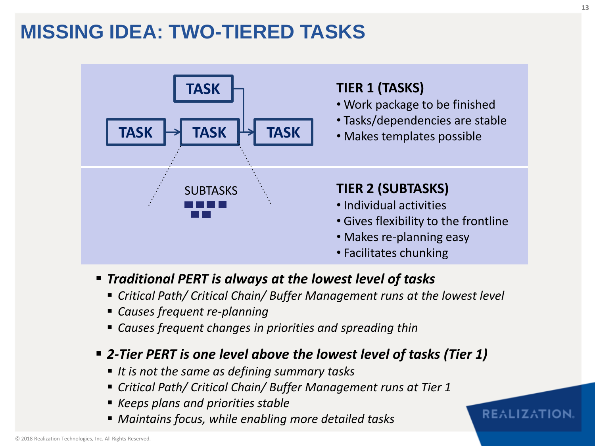#### **MISSING IDEA: TWO-TIERED TASKS**



- *Traditional PERT is always at the lowest level of tasks*
	- *Critical Path/ Critical Chain/ Buffer Management runs at the lowest level*
	- *Causes frequent re-planning*
	- *Causes frequent changes in priorities and spreading thin*

#### *2-Tier PERT is one level above the lowest level of tasks (Tier 1)*

- *It is not the same as defining summary tasks*
- *Critical Path/ Critical Chain/ Buffer Management runs at Tier 1*
- *Keeps plans and priorities stable*
- *Maintains focus, while enabling more detailed tasks*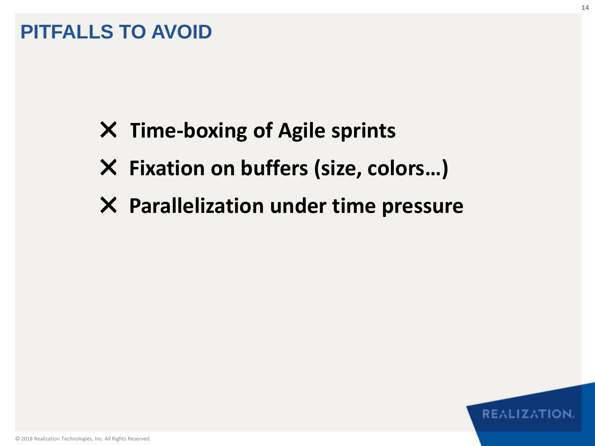#### **PITFALLS TO AVOID**

- ✖ **Time-boxing of Agile sprints**
- ✖ **Fixation on buffers (size, colors…)**
- ✖ **Parallelization under time pressure**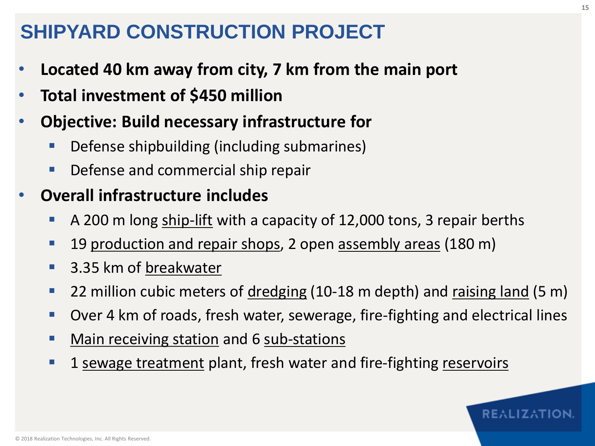#### **SHIPYARD CONSTRUCTION PROJECT**

- **Located 40 km away from city, 7 km from the main port**
- **Total investment of \$450 million**
- **Objective: Build necessary infrastructure for**
	- **Defense shipbuilding (including submarines)**
	- **Defense and commercial ship repair**

#### • **Overall infrastructure includes**

- A 200 m long ship-lift with a capacity of 12,000 tons, 3 repair berths
- **19 production and repair shops, 2 open assembly areas (180 m)**
- 3.35 km of breakwater
- **22 million cubic meters of <u>dredging</u>** (10-18 m depth) and raising land (5 m)
- Over 4 km of roads, fresh water, sewerage, fire-fighting and electrical lines
- Main receiving station and 6 sub-stations
- **1** sewage treatment plant, fresh water and fire-fighting reservoirs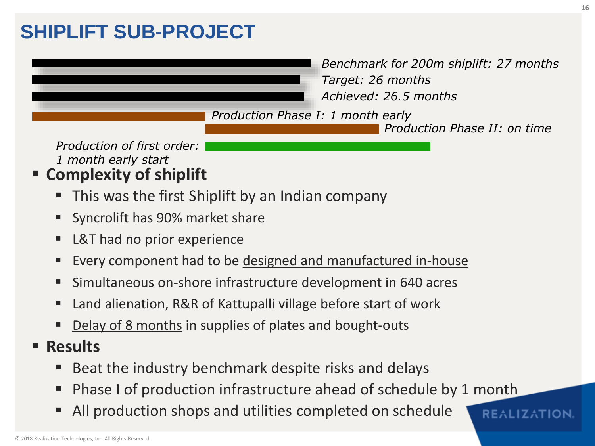#### **SHIPLIFT SUB-PROJECT**

*Benchmark for 200m shiplift: 27 months Target: 26 months Achieved: 26.5 months*

*Production Phase I: 1 month early*

*Production Phase II: on time*

**REALIZATION** 

*Production of first order: 1 month early start*

- **Complexity of shiplift**
	- **This was the first Shiplift by an Indian company**
	- **Syncrolift has 90% market share**
	- L&T had no prior experience
	- Every component had to be designed and manufactured in-house
	- Simultaneous on-shore infrastructure development in 640 acres
	- Land alienation, R&R of Kattupalli village before start of work
	- Delay of 8 months in supplies of plates and bought-outs
- **Results**
	- Beat the industry benchmark despite risks and delays
	- Phase I of production infrastructure ahead of schedule by 1 month
	- All production shops and utilities completed on schedule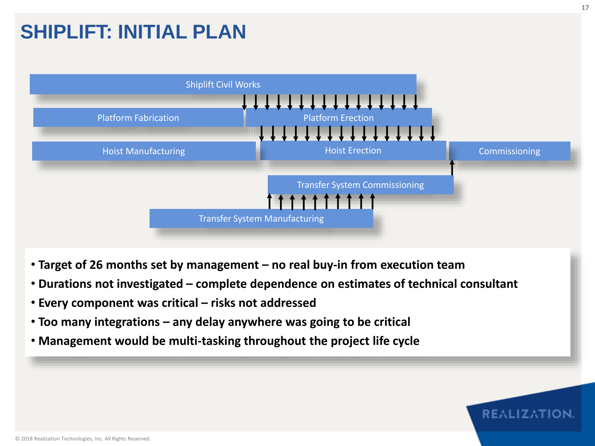#### **SHIPLIFT: INITIAL PLAN**



- **Target of 26 months set by management – no real buy-in from execution team**
- **Durations not investigated – complete dependence on estimates of technical consultant**
- **Every component was critical – risks not addressed**
- **Too many integrations – any delay anywhere was going to be critical**
- **Management would be multi-tasking throughout the project life cycle**

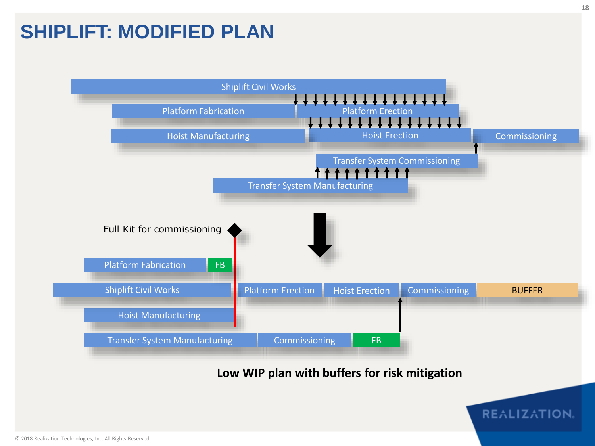#### **SHIPLIFT: MODIFIED PLAN**

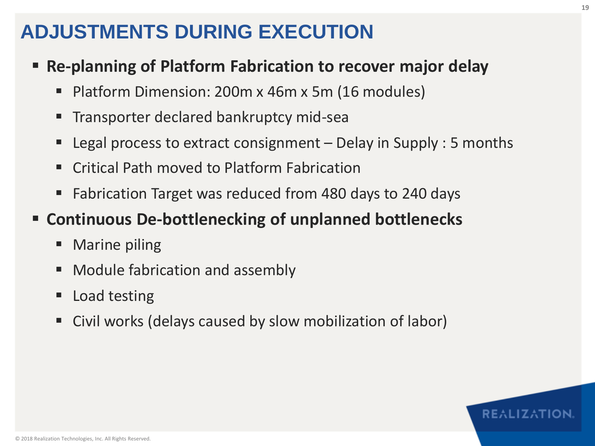#### **ADJUSTMENTS DURING EXECUTION**

- **Re-planning of Platform Fabrication to recover major delay**
	- Platform Dimension: 200m x 46m x 5m (16 modules)
	- Transporter declared bankruptcy mid-sea
	- **Legal process to extract consignment Delay in Supply : 5 months**
	- Critical Path moved to Platform Fabrication
	- Fabrication Target was reduced from 480 days to 240 days

#### **Continuous De-bottlenecking of unplanned bottlenecks**

- Marine piling
- Module fabrication and assembly
- Load testing
- Civil works (delays caused by slow mobilization of labor)